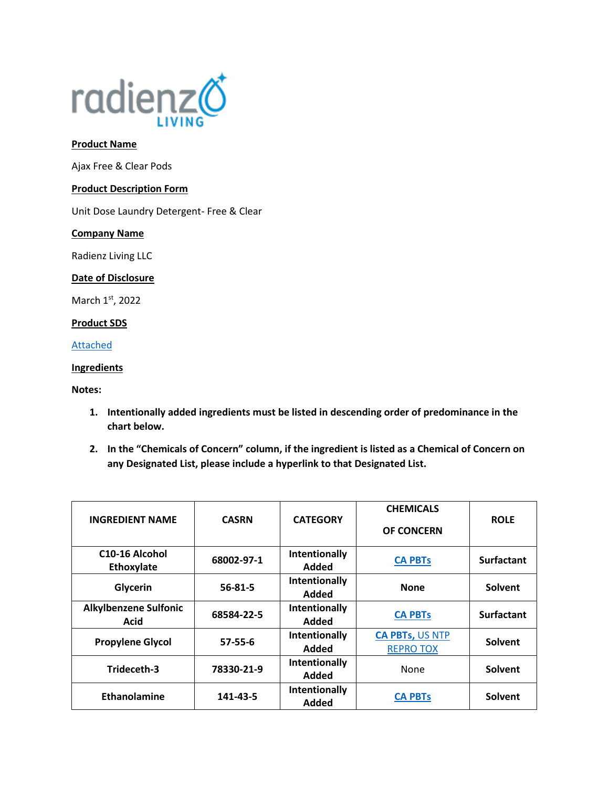

## **Product Name**

Ajax Free & Clear Pods

# **Product Description Form**

Unit Dose Laundry Detergent- Free & Clear

#### **Company Name**

Radienz Living LLC

#### **Date of Disclosure**

March 1st, 2022

# **Product SDS**

#### [Attached](file://///srvfs02/home/mloesch/Files/Home%20Care/AJAX-2020/rebrand/Regulatory/pods/SDS%20Customers/Free%20and%20Clear%20Unit%20Dose%20Pods%20-439.pdf)

### **Ingredients**

# **Notes:**

- **1. Intentionally added ingredients must be listed in descending order of predominance in the chart below.**
- **2. In the "Chemicals of Concern" column, if the ingredient is listed as a Chemical of Concern on any Designated List, please include a hyperlink to that Designated List.**

| <b>INGREDIENT NAME</b>                    | <b>CASRN</b>  | <b>CATEGORY</b>        | <b>CHEMICALS</b><br><b>OF CONCERN</b>      | <b>ROLE</b>       |
|-------------------------------------------|---------------|------------------------|--------------------------------------------|-------------------|
| C <sub>10</sub> -16 Alcohol<br>Ethoxylate | 68002-97-1    | Intentionally<br>Added | <b>CA PBTs</b>                             | <b>Surfactant</b> |
| Glycerin                                  | $56 - 81 - 5$ | Intentionally<br>Added | <b>None</b>                                | Solvent           |
| <b>Alkylbenzene Sulfonic</b><br>Acid      | 68584-22-5    | Intentionally<br>Added | <b>CA PBTs</b>                             | <b>Surfactant</b> |
| <b>Propylene Glycol</b>                   | $57 - 55 - 6$ | Intentionally<br>Added | <b>CA PBTs, US NTP</b><br><b>REPRO TOX</b> | Solvent           |
| Trideceth-3                               | 78330-21-9    | Intentionally<br>Added | None                                       | Solvent           |
| Ethanolamine                              | 141-43-5      | Intentionally<br>Added | <b>CA PBTs</b>                             | Solvent           |